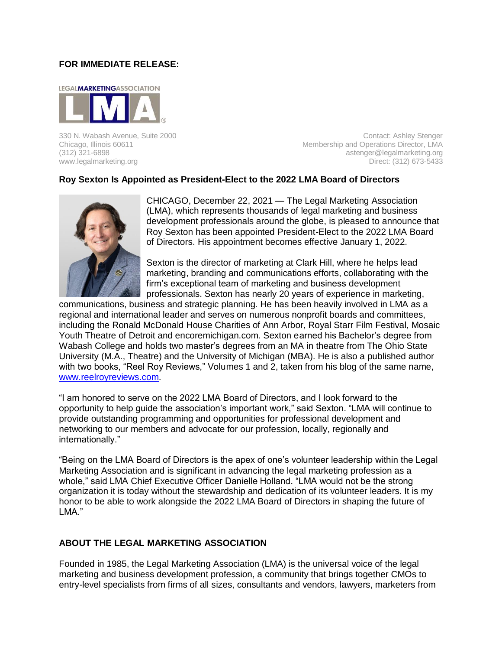## **FOR IMMEDIATE RELEASE:**



330 N. Wabash Avenue, Suite 2000<br>Contact: Ashley Stenger Chicago, Illinois 60611<br>Membership and Operations Director, LMA Membership and Operations Director, LMA (312) 321-6898 astenger@legalmarketing.org www.legalmarketing.org **Direct: (312) 673-5433** 

## **Roy Sexton Is Appointed as President-Elect to the 2022 LMA Board of Directors**



CHICAGO, December 22, 2021 — The Legal Marketing Association (LMA), which represents thousands of legal marketing and business development professionals around the globe, is pleased to announce that Roy Sexton has been appointed President-Elect to the 2022 LMA Board of Directors. His appointment becomes effective January 1, 2022.

Sexton is the director of marketing at Clark Hill, where he helps lead marketing, branding and communications efforts, collaborating with the firm's exceptional team of marketing and business development professionals. Sexton has nearly 20 years of experience in marketing,

communications, business and strategic planning. He has been heavily involved in LMA as a regional and international leader and serves on numerous nonprofit boards and committees, including the Ronald McDonald House Charities of Ann Arbor, Royal Starr Film Festival, Mosaic Youth Theatre of Detroit and encoremichigan.com. Sexton earned his Bachelor's degree from Wabash College and holds two master's degrees from an MA in theatre from The Ohio State University (M.A., Theatre) and the University of Michigan (MBA). He is also a published author with two books, "Reel Roy Reviews," Volumes 1 and 2, taken from his blog of the same name, [www.reelroyreviews.com.](http://www.reelroyreviews.com/)

"I am honored to serve on the 2022 LMA Board of Directors, and I look forward to the opportunity to help guide the association's important work," said Sexton. "LMA will continue to provide outstanding programming and opportunities for professional development and networking to our members and advocate for our profession, locally, regionally and internationally."

"Being on the LMA Board of Directors is the apex of one's volunteer leadership within the Legal Marketing Association and is significant in advancing the legal marketing profession as a whole," said LMA Chief Executive Officer Danielle Holland. "LMA would not be the strong organization it is today without the stewardship and dedication of its volunteer leaders. It is my honor to be able to work alongside the 2022 LMA Board of Directors in shaping the future of LMA."

## **ABOUT THE LEGAL MARKETING ASSOCIATION**

Founded in 1985, the Legal Marketing Association (LMA) is the universal voice of the legal marketing and business development profession, a community that brings together CMOs to entry-level specialists from firms of all sizes, consultants and vendors, lawyers, marketers from